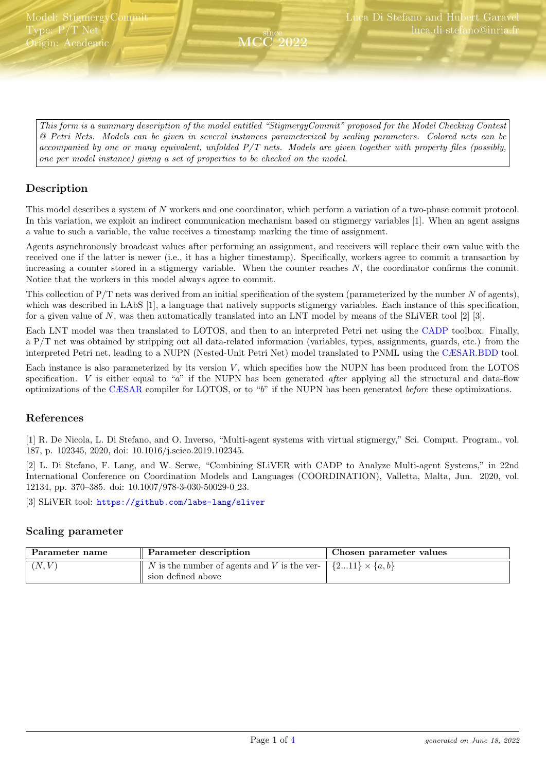<span id="page-0-0"></span>This form is a summary description of the model entitled "StigmergyCommit" proposed for the Model Checking Contest @ Petri Nets. Models can be given in several instances parameterized by scaling parameters. Colored nets can be accompanied by one or many equivalent, unfolded P/T nets. Models are given together with property files (possibly, one per model instance) giving a set of properties to be checked on the model.

since MCC 2022

## Description

This model describes a system of N workers and one coordinator, which perform a variation of a two-phase commit protocol. In this variation, we exploit an indirect communication mechanism based on stigmergy variables [1]. When an agent assigns a value to such a variable, the value receives a timestamp marking the time of assignment.

Agents asynchronously broadcast values after performing an assignment, and receivers will replace their own value with the received one if the latter is newer (i.e., it has a higher timestamp). Specifically, workers agree to commit a transaction by increasing a counter stored in a stigmergy variable. When the counter reaches  $N$ , the coordinator confirms the commit. Notice that the workers in this model always agree to commit.

This collection of  $P/T$  nets was derived from an initial specification of the system (parameterized by the number  $N$  of agents), which was described in LAbS [1], a language that natively supports stigmergy variables. Each instance of this specification, for a given value of N, was then automatically translated into an LNT model by means of the SLiVER tool [2] [3].

Each LNT model was then translated to LOTOS, and then to an interpreted Petri net using the [CADP](http://cadp.inria.fr) toolbox. Finally, a P/T net was obtained by stripping out all data-related information (variables, types, assignments, guards, etc.) from the interpreted Petri net, leading to a NUPN (Nested-Unit Petri Net) model translated to PNML using the [CÆSAR.BDD](http://cadp.inria.fr/man/caesar.bdd.html) tool.

Each instance is also parameterized by its version  $V$ , which specifies how the NUPN has been produced from the LOTOS specification.  $V$  is either equal to "a" if the NUPN has been generated *after* applying all the structural and data-flow optimizations of the [CÆSAR](http://cadp.inria.fr/man/caesar.html) compiler for LOTOS, or to "b" if the NUPN has been generated before these optimizations.

#### References

[1] R. De Nicola, L. Di Stefano, and O. Inverso, "Multi-agent systems with virtual stigmergy," Sci. Comput. Program., vol. 187, p. 102345, 2020, doi: 10.1016/j.scico.2019.102345.

[2] L. Di Stefano, F. Lang, and W. Serwe, "Combining SLiVER with CADP to Analyze Multi-agent Systems," in 22nd International Conference on Coordination Models and Languages (COORDINATION), Valletta, Malta, Jun. 2020, vol. 12134, pp. 370–385. doi: 10.1007/978-3-030-50029-0 23.

[3] SLiVER tool: <https://github.com/labs-lang/sliver>

#### Scaling parameter

| Parameter name | Parameter description                                                         | Chosen parameter values  |
|----------------|-------------------------------------------------------------------------------|--------------------------|
| (N, V)         | $\parallel$ N is the number of agents and V is the ver-<br>sion defined above | $\{211\} \times \{a,b\}$ |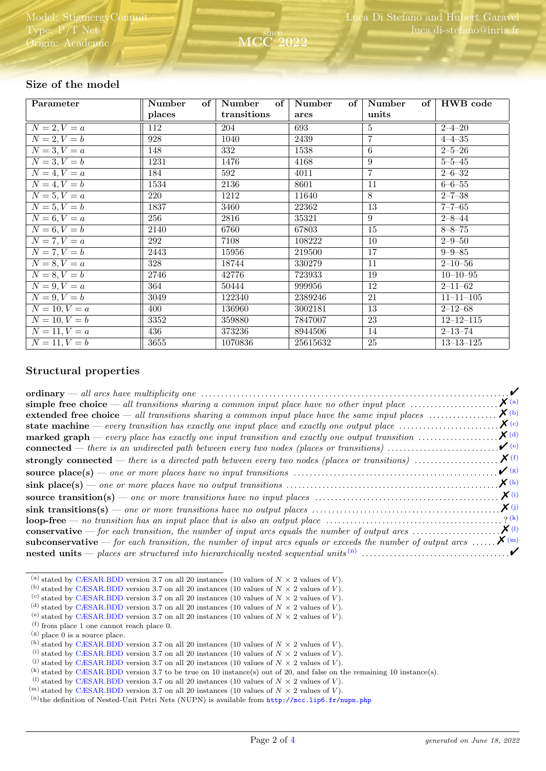| Parameter                            | Number<br>of | Number<br>of     | Number<br>of | of<br>Number    | HWB code        |
|--------------------------------------|--------------|------------------|--------------|-----------------|-----------------|
|                                      | places       | transitions      | arcs         | units           |                 |
| $N = 2, V = a$                       | 112          | 204              | 693          | 5               | $2 - 4 - 20$    |
| $N = 2, V = b$                       | 928          | 1040             | 2439         | $\overline{7}$  | $4 - 4 - 35$    |
| $N=3, V=a$                           | 148          | $\overline{332}$ | 1538         | $\overline{6}$  | $2 - 5 - 26$    |
| $N=3, V=b$                           | 1231         | 1476             | 4168         | 9               | $5 - 5 - 45$    |
| $\overline{N=4}, V=a$                | 184          | 592              | 4011         | $\overline{7}$  | $2 - 6 - 32$    |
| $N=4, V=b$                           | 1534         | 2136             | 8601         | 11              | $6 - 6 - 55$    |
| $N = 5, V = a$                       | 220          | 1212             | 11640        | 8               | $2 - 7 - 38$    |
| $\overline{N=5}, V=b$                | 1837         | 3460             | 22362        | $\overline{13}$ | $7 - 7 - 65$    |
| $\overline{N=6, V=a}$                | 256          | 2816             | 35321        | $\overline{9}$  | $2 - 8 - 44$    |
| $N=6, V=b$                           | 2140         | 6760             | 67803        | $\overline{15}$ | $8 - 8 - 75$    |
| $N = 7, V = a$                       | 292          | 7108             | 108222       | 10              | $2 - 9 - 50$    |
| $\overline{N} = 7, \overline{V} = b$ | 2443         | 15956            | 219500       | 17              | $9 - 9 - 85$    |
| $N = 8, V = a$                       | 328          | 18744            | 330279       | 11              | $2 - 10 - 56$   |
| $N=8, V=b$                           | 2746         | 42776            | 723933       | 19              | $10 - 10 - 95$  |
| $N = 9, V = a$                       | 364          | 50444            | 999956       | 12              | $2 - 11 - 62$   |
| $N=9, V=b$                           | 3049         | 122340           | 2389246      | 21              | $11 - 11 - 105$ |
| $N = 10, V = a$                      | 400          | 136960           | 3002181      | 13              | $2 - 12 - 68$   |
| $N = 10, V = b$                      | 3352         | 359880           | 7847007      | 23              | $12 - 12 - 115$ |
| $N = 11, V = a$                      | 436          | 373236           | 8944506      | 14              | $2 - 13 - 74$   |
| $N = 11, V = b$                      | 3655         | 1070836          | 25615632     | 25              | $13 - 13 - 125$ |

since

2022

## Size of the model

#### Structural properties

|                                                                                                                                                     | $\mathcal{V}$        |  |
|-----------------------------------------------------------------------------------------------------------------------------------------------------|----------------------|--|
|                                                                                                                                                     | $\boldsymbol{X}$ (a) |  |
| extended free choice $-$ all transitions sharing a common input place have the same input places $\dots\dots\dots\dots\dots$                        | $\boldsymbol{X}$ (b) |  |
| state machine — every transition has exactly one input place and exactly one output place $\dots\dots\dots\dots\dots\dots$                          | $\chi$ (c)           |  |
| <b>marked graph</b> — every place has exactly one input transition and exactly one output transition $\ldots \ldots \ldots \ldots \mathbf{X}^{(d)}$ |                      |  |
| <b>connected</b> — there is an undirected path between every two nodes (places or transitions) $\dots\dots\dots\dots\dots\dots\dots$                | $\mathcal{V}(e)$     |  |
|                                                                                                                                                     |                      |  |
|                                                                                                                                                     | $\mathcal{V}(g)$     |  |
|                                                                                                                                                     | $\chi$ (h)           |  |
|                                                                                                                                                     | $\boldsymbol{X}$ (i) |  |
|                                                                                                                                                     | $\boldsymbol{X}(j)$  |  |
|                                                                                                                                                     |                      |  |
|                                                                                                                                                     |                      |  |
| <b>subconservative</b> — for each transition, the number of input arcs equals or exceeds the number of output arcs $\mathbf{X}^{(m)}$               |                      |  |
|                                                                                                                                                     |                      |  |

<span id="page-1-12"></span><sup>(m)</sup> stated by [CÆSAR.BDD](http://cadp.inria.fr/man/caesar.bdd.html) version 3.7 on all 20 instances (10 values of  $N \times 2$  values of V).

<span id="page-1-0"></span><sup>(</sup>a) stated by [CÆSAR.BDD](http://cadp.inria.fr/man/caesar.bdd.html) version 3.7 on all 20 instances (10 values of  $N \times 2$  values of V).

<span id="page-1-1"></span><sup>(</sup>b) stated by [CÆSAR.BDD](http://cadp.inria.fr/man/caesar.bdd.html) version 3.7 on all 20 instances (10 values of  $N \times 2$  values of  $V$ ).

<span id="page-1-2"></span><sup>(</sup>c) stated by [CÆSAR.BDD](http://cadp.inria.fr/man/caesar.bdd.html) version 3.7 on all 20 instances (10 values of  $N \times 2$  values of V).

<span id="page-1-3"></span><sup>(</sup>d) stated by [CÆSAR.BDD](http://cadp.inria.fr/man/caesar.bdd.html) version 3.7 on all 20 instances (10 values of  $N \times 2$  values of  $V$ ).

<span id="page-1-4"></span><sup>(</sup>e) stated by [CÆSAR.BDD](http://cadp.inria.fr/man/caesar.bdd.html) version 3.7 on all 20 instances (10 values of  $N \times 2$  values of V). (f) from place 1 one cannot reach place 0.

<span id="page-1-6"></span><span id="page-1-5"></span><sup>(</sup>g) place 0 is a source place.

<span id="page-1-7"></span>

<sup>(</sup>h) stated by [CÆSAR.BDD](http://cadp.inria.fr/man/caesar.bdd.html) version 3.7 on all 20 instances (10 values of  $N \times 2$  values of V).

<span id="page-1-8"></span><sup>(</sup>i) stated by [CÆSAR.BDD](http://cadp.inria.fr/man/caesar.bdd.html) version 3.7 on all 20 instances (10 values of  $N \times 2$  values of V).

<span id="page-1-9"></span><sup>(</sup>i) stated by [CÆSAR.BDD](http://cadp.inria.fr/man/caesar.bdd.html) version 3.7 on all 20 instances (10 values of  $N \times 2$  values of V).

<span id="page-1-11"></span><span id="page-1-10"></span><sup>(</sup>k) stated by [CÆSAR.BDD](http://cadp.inria.fr/man/caesar.bdd.html) version 3.7 to be true on 10 instance(s) out of 20, and false on the remaining 10 instance(s). (1) stated by [CÆSAR.BDD](http://cadp.inria.fr/man/caesar.bdd.html) version 3.7 on all 20 instances (10 values of  $N \times 2$  values of V).

<span id="page-1-13"></span> $(n)$ the definition of Nested-Unit Petri Nets (NUPN) is available from <http://mcc.lip6.fr/nupn.php>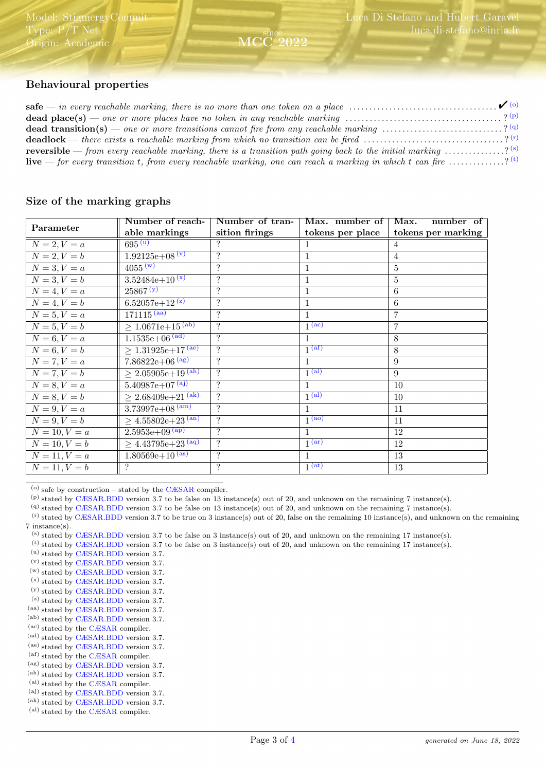# Behavioural properties

| <b>dead place(s)</b> — one or more places have no token in any reachable marking $\ldots \ldots \ldots \ldots \ldots \ldots \ldots \ldots \ldots$ ? (p) |  |
|---------------------------------------------------------------------------------------------------------------------------------------------------------|--|
| <b>dead transition(s)</b> — one or more transitions cannot fire from any reachable marking ? (9)                                                        |  |
| <b>deadlock</b> — there exists a reachable marking from which no transition can be fired $\ldots$ ? <sup>(r)</sup>                                      |  |
| <b>reversible</b> — from every reachable marking, there is a transition path going back to the initial marking $\ldots \ldots \ldots$ (s)               |  |
| <b>live</b> — for every transition t, from every reachable marking, one can reach a marking in which t can fire $\ldots \ldots \ldots$ (t)              |  |

since MCC 2022

#### Size of the marking graphs

|                 | Number of reach-                     | Number of tran-          | Max. number of                          | Max.<br>number of  |
|-----------------|--------------------------------------|--------------------------|-----------------------------------------|--------------------|
| Parameter       | able markings                        | sition firings           | tokens per place                        | tokens per marking |
| $N = 2, V = a$  | $695 \,\mathrm{(u)}$                 | ?                        |                                         | 4                  |
| $N = 2, V = b$  | $1.92125e+08(v)$                     | $\overline{?}$           | 1                                       | $\overline{4}$     |
| $N = 3, V = a$  | 4055 <sup>(w)</sup>                  | $\ddot{?}$               | 1                                       | $\overline{5}$     |
| $N = 3, V = b$  | $3.52484e+10^{(x)}$                  | $\gamma$                 | 1                                       | 5                  |
| $N = 4, V = a$  | 25867 (y)                            | $\ddot{?}$               | $\mathbf{1}$                            | $6\phantom{.}6$    |
| $N = 4, V = b$  | $6.52057e+12^{(z)}$                  | $\ddot{?}$               | 1                                       | 6                  |
| $N = 5, V = a$  | $171115^{(aa)}$                      | $\gamma$                 | $\mathbf{1}$                            | 7                  |
| $N = 5, V = b$  | $\geq 1.06\overline{71e+15^{(ab)}}$  | $\overline{?}$           | $\sqrt{ac}$                             | $\overline{7}$     |
| $N = 6, V = a$  | $1.1535e+06$ <sup>(ad)</sup>         | $\gamma$                 | 1                                       | 8                  |
| $N = 6, V = b$  | $> 1.31925e+17^{(ae)}$               | $\overline{\mathcal{L}}$ | 1 <sup>(af)</sup>                       | 8                  |
| $N = 7, V = a$  | $7.86822e+06^{(ag)}$                 | $\gamma$                 | 1                                       | 9                  |
| $N = 7, V = b$  | $\geq 2.05905e + 19^{(ah)}$          | $\gamma$                 | $\overline{1^{(ai)}}$                   | 9                  |
| $N = 8, V = a$  | $5.40987e+07^{(a)}$                  | $\gamma$                 | 1                                       | 10                 |
| $N = 8, V = b$  | $\geq 2.68409e+21^{\text{(ak)}}$     | $\ddot{?}$               | 1 <sup>(al)</sup>                       | 10                 |
| $N = 9, V = a$  | $3.73997e+08^{(am)}$                 | $\gamma$                 | $\mathbf{1}$                            | 11                 |
| $N = 9, V = b$  | $\geq 4.55802e+23^{(an)}$            | $\gamma$                 | $1^{(\overline{\mathbf{a}\mathbf{o}})}$ | 11                 |
| $N = 10, V = a$ | $2.5953e+09^{(ap)}$                  | $\gamma$                 | 1                                       | 12                 |
| $N = 10, V = b$ | $\geq 4.43795e + 23 \frac{(aq)}{aq}$ | $\overline{\mathcal{L}}$ | 1 <sup>(ar)</sup>                       | 12                 |
| $N = 11, V = a$ | $1.80569e+10^{(as)}$                 | $\overline{\mathcal{L}}$ | 1                                       | 13                 |
| $N = 11, V = b$ | ?                                    | ?                        | $1$ (at)                                | 13                 |

<span id="page-2-0"></span> $(0)$  safe by construction – stated by the [CÆSAR](http://cadp.inria.fr/man/caesar.html) compiler.

- (aa) stated by [CÆSAR.BDD](http://cadp.inria.fr/man/caesar.bdd.html) version 3.7.
- (ab) stated by [CÆSAR.BDD](http://cadp.inria.fr/man/caesar.bdd.html) version 3.7.
- (ac) stated by the [CÆSAR](http://cadp.inria.fr/man/caesar.html) compiler.
- (ad) stated by [CÆSAR.BDD](http://cadp.inria.fr/man/caesar.bdd.html) version 3.7.
- (ae) stated by [CÆSAR.BDD](http://cadp.inria.fr/man/caesar.bdd.html) version 3.7.
- (af) stated by the [CÆSAR](http://cadp.inria.fr/man/caesar.html) compiler.
- (ag) stated by [CÆSAR.BDD](http://cadp.inria.fr/man/caesar.bdd.html) version 3.7.
- (ah) stated by [CÆSAR.BDD](http://cadp.inria.fr/man/caesar.bdd.html) version 3.7. (ai) stated by the [CÆSAR](http://cadp.inria.fr/man/caesar.html) compiler.
- (aj) stated by [CÆSAR.BDD](http://cadp.inria.fr/man/caesar.bdd.html) version 3.7.
- (ak) stated by [CÆSAR.BDD](http://cadp.inria.fr/man/caesar.bdd.html) version 3.7.
- (al) stated by the [CÆSAR](http://cadp.inria.fr/man/caesar.html) compiler.

<span id="page-2-1"></span> $(p)$  stated by [CÆSAR.BDD](http://cadp.inria.fr/man/caesar.bdd.html) version 3.7 to be false on 13 instance(s) out of 20, and unknown on the remaining 7 instance(s).

<span id="page-2-3"></span><span id="page-2-2"></span><sup>(</sup>q) stated by [CÆSAR.BDD](http://cadp.inria.fr/man/caesar.bdd.html) version 3.7 to be false on 13 instance(s) out of 20, and unknown on the remaining 7 instance(s).

 $<sup>(r)</sup>$  stated by [CÆSAR.BDD](http://cadp.inria.fr/man/caesar.bdd.html) version 3.7 to be true on 3 instance(s) out of 20, false on the remaining 10 instance(s), and unknown on the remaining</sup> 7 instance(s).

<span id="page-2-4"></span><sup>(</sup>s) stated by [CÆSAR.BDD](http://cadp.inria.fr/man/caesar.bdd.html) version 3.7 to be false on 3 instance(s) out of 20, and unknown on the remaining 17 instance(s).

<span id="page-2-5"></span> $^{(t)}$  stated by [CÆSAR.BDD](http://cadp.inria.fr/man/caesar.bdd.html) version 3.7 to be false on 3 instance(s) out of 20, and unknown on the remaining 17 instance(s).

<span id="page-2-6"></span><sup>(</sup>u) stated by [CÆSAR.BDD](http://cadp.inria.fr/man/caesar.bdd.html) version 3.7.

<sup>(</sup>v) stated by [CÆSAR.BDD](http://cadp.inria.fr/man/caesar.bdd.html) version 3.7.

<sup>(</sup>w) stated by [CÆSAR.BDD](http://cadp.inria.fr/man/caesar.bdd.html) version 3.7.

<sup>(</sup>x) stated by [CÆSAR.BDD](http://cadp.inria.fr/man/caesar.bdd.html) version 3.7.

<sup>(</sup>y) stated by [CÆSAR.BDD](http://cadp.inria.fr/man/caesar.bdd.html) version 3.7.

 $(z)$  stated by [CÆSAR.BDD](http://cadp.inria.fr/man/caesar.bdd.html) version 3.7.